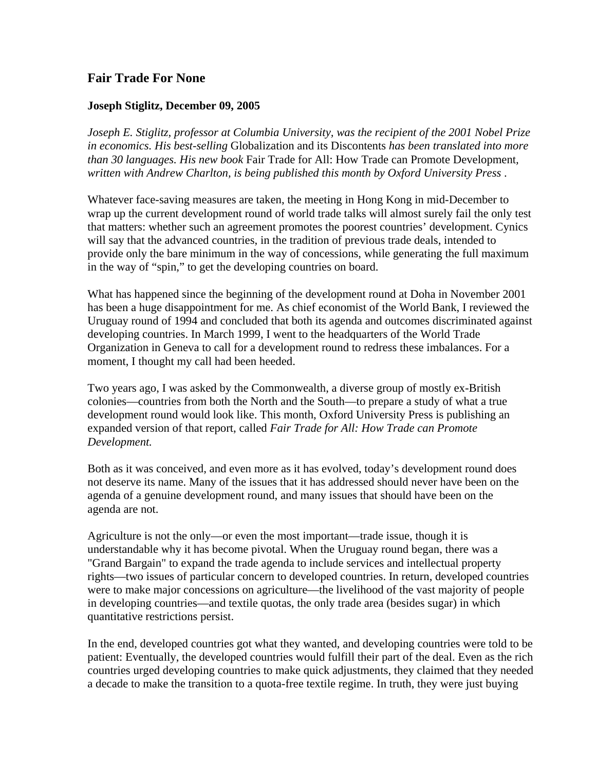## **Fair Trade For None**

## **Joseph Stiglitz, December 09, 2005**

*Joseph E. Stiglitz, professor at Columbia University, was the recipient of the 2001 Nobel Prize in economics. His best-selling* Globalization and its Discontents *has been translated into more than 30 languages. His new book* Fair Trade for All: How Trade can Promote Development*, written with Andrew Charlton, is being published this month by Oxford University Press* .

Whatever face-saving measures are taken, the meeting in Hong Kong in mid-December to wrap up the current development round of world trade talks will almost surely fail the only test that matters: whether such an agreement promotes the poorest countries' development. Cynics will say that the advanced countries, in the tradition of previous trade deals, intended to provide only the bare minimum in the way of concessions, while generating the full maximum in the way of "spin," to get the developing countries on board.

What has happened since the beginning of the development round at Doha in November 2001 has been a huge disappointment for me. As chief economist of the World Bank, I reviewed the Uruguay round of 1994 and concluded that both its agenda and outcomes discriminated against developing countries. In March 1999, I went to the headquarters of the World Trade Organization in Geneva to call for a development round to redress these imbalances. For a moment, I thought my call had been heeded.

Two years ago, I was asked by the Commonwealth, a diverse group of mostly ex-British colonies—countries from both the North and the South—to prepare a study of what a true development round would look like. This month, Oxford University Press is publishing an expanded version of that report, called *Fair Trade for All: How Trade can Promote Development.*

Both as it was conceived, and even more as it has evolved, today's development round does not deserve its name. Many of the issues that it has addressed should never have been on the agenda of a genuine development round, and many issues that should have been on the agenda are not.

Agriculture is not the only—or even the most important—trade issue, though it is understandable why it has become pivotal. When the Uruguay round began, there was a "Grand Bargain" to expand the trade agenda to include services and intellectual property rights—two issues of particular concern to developed countries. In return, developed countries were to make major concessions on agriculture—the livelihood of the vast majority of people in developing countries—and textile quotas, the only trade area (besides sugar) in which quantitative restrictions persist.

In the end, developed countries got what they wanted, and developing countries were told to be patient: Eventually, the developed countries would fulfill their part of the deal. Even as the rich countries urged developing countries to make quick adjustments, they claimed that they needed a decade to make the transition to a quota-free textile regime. In truth, they were just buying